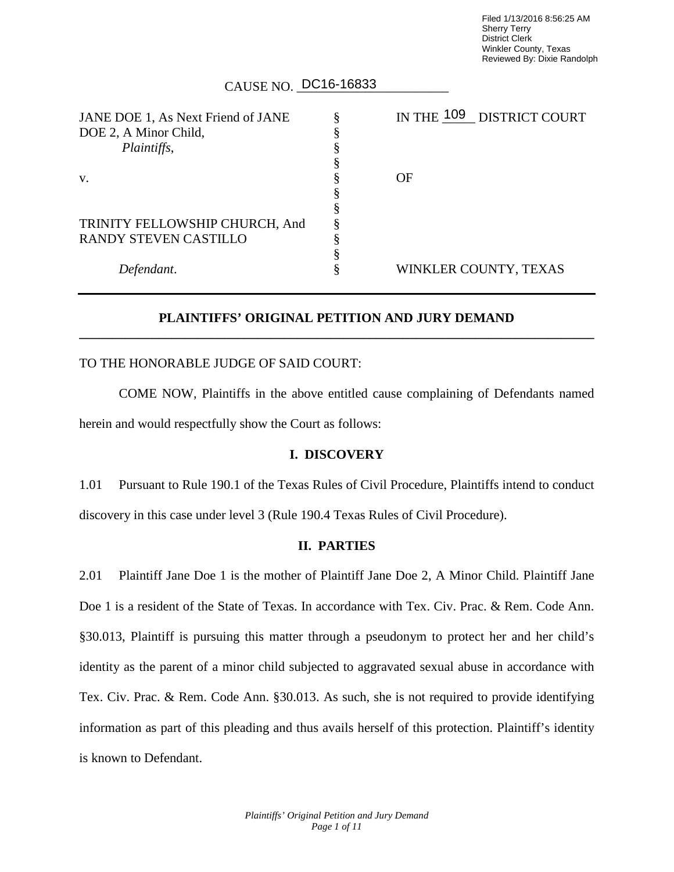Filed 1/13/2016 8:56:25 AM Sherry Terry District Clerk Winkler County, Texas Reviewed By: Dixie Randolph

# CAUSE NO. DC16-16833

| JANE DOE 1, As Next Friend of JANE | IN THE 109 DISTRICT COURT |
|------------------------------------|---------------------------|
| DOE 2, A Minor Child,              |                           |
| Plaintiffs,                        |                           |
|                                    |                           |
| $V_{\rm}$                          | OF                        |
|                                    |                           |
|                                    |                           |
| TRINITY FELLOWSHIP CHURCH, And     |                           |
| RANDY STEVEN CASTILLO              |                           |
|                                    |                           |
| Defendant.                         | WINKLER COUNTY, TEXAS     |
|                                    |                           |

## **PLAINTIFFS' ORIGINAL PETITION AND JURY DEMAND \_\_\_\_\_\_\_\_\_\_\_\_\_\_\_\_\_\_\_\_\_\_\_\_\_\_\_\_\_\_\_\_\_\_\_\_\_\_\_\_\_\_\_\_\_\_\_\_\_\_\_\_\_\_\_\_\_\_\_\_\_\_\_\_\_\_\_\_\_\_\_\_\_\_\_\_\_\_**

### TO THE HONORABLE JUDGE OF SAID COURT:

COME NOW, Plaintiffs in the above entitled cause complaining of Defendants named herein and would respectfully show the Court as follows:

### **I. DISCOVERY**

1.01 Pursuant to Rule 190.1 of the Texas Rules of Civil Procedure, Plaintiffs intend to conduct discovery in this case under level 3 (Rule 190.4 Texas Rules of Civil Procedure).

### **II. PARTIES**

2.01 Plaintiff Jane Doe 1 is the mother of Plaintiff Jane Doe 2, A Minor Child. Plaintiff Jane Doe 1 is a resident of the State of Texas. In accordance with Tex. Civ. Prac. & Rem. Code Ann. §30.013, Plaintiff is pursuing this matter through a pseudonym to protect her and her child's identity as the parent of a minor child subjected to aggravated sexual abuse in accordance with Tex. Civ. Prac. & Rem. Code Ann. §30.013. As such, she is not required to provide identifying information as part of this pleading and thus avails herself of this protection. Plaintiff's identity is known to Defendant.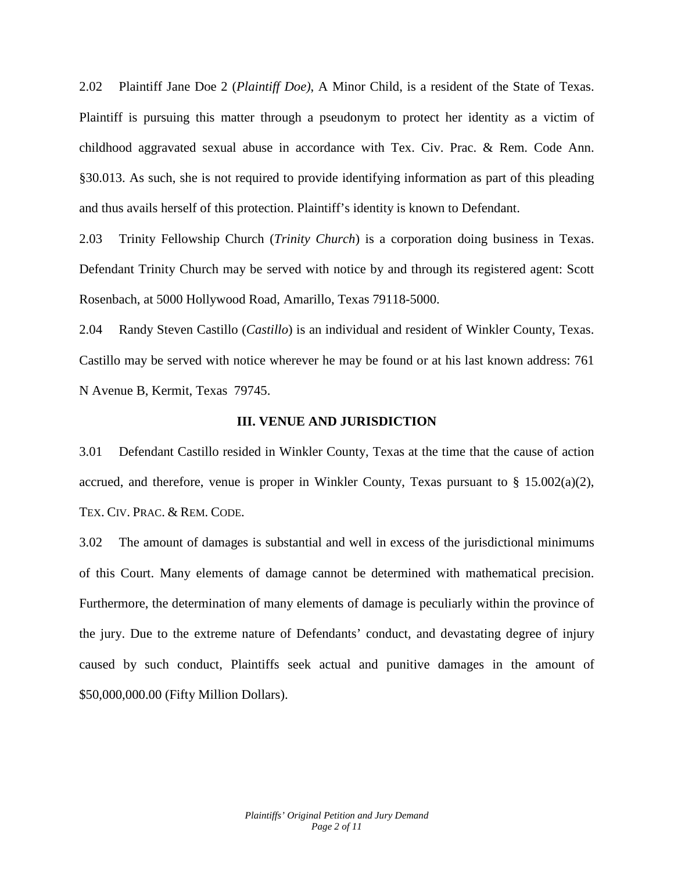2.02 Plaintiff Jane Doe 2 (*Plaintiff Doe)*, A Minor Child, is a resident of the State of Texas. Plaintiff is pursuing this matter through a pseudonym to protect her identity as a victim of childhood aggravated sexual abuse in accordance with Tex. Civ. Prac. & Rem. Code Ann. §30.013. As such, she is not required to provide identifying information as part of this pleading and thus avails herself of this protection. Plaintiff's identity is known to Defendant.

2.03 Trinity Fellowship Church (*Trinity Church*) is a corporation doing business in Texas. Defendant Trinity Church may be served with notice by and through its registered agent: Scott Rosenbach, at 5000 Hollywood Road, Amarillo, Texas 79118-5000.

2.04 Randy Steven Castillo (*Castillo*) is an individual and resident of Winkler County, Texas. Castillo may be served with notice wherever he may be found or at his last known address: 761 N Avenue B, Kermit, Texas 79745.

#### **III. VENUE AND JURISDICTION**

3.01 Defendant Castillo resided in Winkler County, Texas at the time that the cause of action accrued, and therefore, venue is proper in Winkler County, Texas pursuant to  $\S$  15.002(a)(2), TEX. CIV. PRAC. & REM. CODE.

3.02 The amount of damages is substantial and well in excess of the jurisdictional minimums of this Court. Many elements of damage cannot be determined with mathematical precision. Furthermore, the determination of many elements of damage is peculiarly within the province of the jury. Due to the extreme nature of Defendants' conduct, and devastating degree of injury caused by such conduct, Plaintiffs seek actual and punitive damages in the amount of \$50,000,000.00 (Fifty Million Dollars).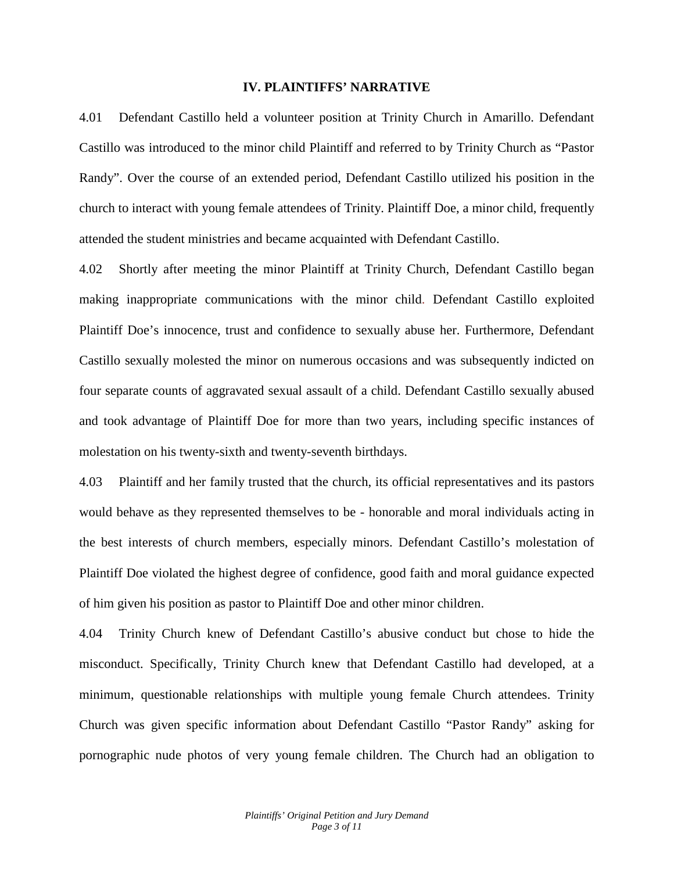#### **IV. PLAINTIFFS' NARRATIVE**

4.01 Defendant Castillo held a volunteer position at Trinity Church in Amarillo. Defendant Castillo was introduced to the minor child Plaintiff and referred to by Trinity Church as "Pastor Randy". Over the course of an extended period, Defendant Castillo utilized his position in the church to interact with young female attendees of Trinity. Plaintiff Doe, a minor child, frequently attended the student ministries and became acquainted with Defendant Castillo.

4.02 Shortly after meeting the minor Plaintiff at Trinity Church, Defendant Castillo began making inappropriate communications with the minor child. Defendant Castillo exploited Plaintiff Doe's innocence, trust and confidence to sexually abuse her. Furthermore, Defendant Castillo sexually molested the minor on numerous occasions and was subsequently indicted on four separate counts of aggravated sexual assault of a child. Defendant Castillo sexually abused and took advantage of Plaintiff Doe for more than two years, including specific instances of molestation on his twenty-sixth and twenty-seventh birthdays.

4.03 Plaintiff and her family trusted that the church, its official representatives and its pastors would behave as they represented themselves to be - honorable and moral individuals acting in the best interests of church members, especially minors. Defendant Castillo's molestation of Plaintiff Doe violated the highest degree of confidence, good faith and moral guidance expected of him given his position as pastor to Plaintiff Doe and other minor children.

4.04 Trinity Church knew of Defendant Castillo's abusive conduct but chose to hide the misconduct. Specifically, Trinity Church knew that Defendant Castillo had developed, at a minimum, questionable relationships with multiple young female Church attendees. Trinity Church was given specific information about Defendant Castillo "Pastor Randy" asking for pornographic nude photos of very young female children. The Church had an obligation to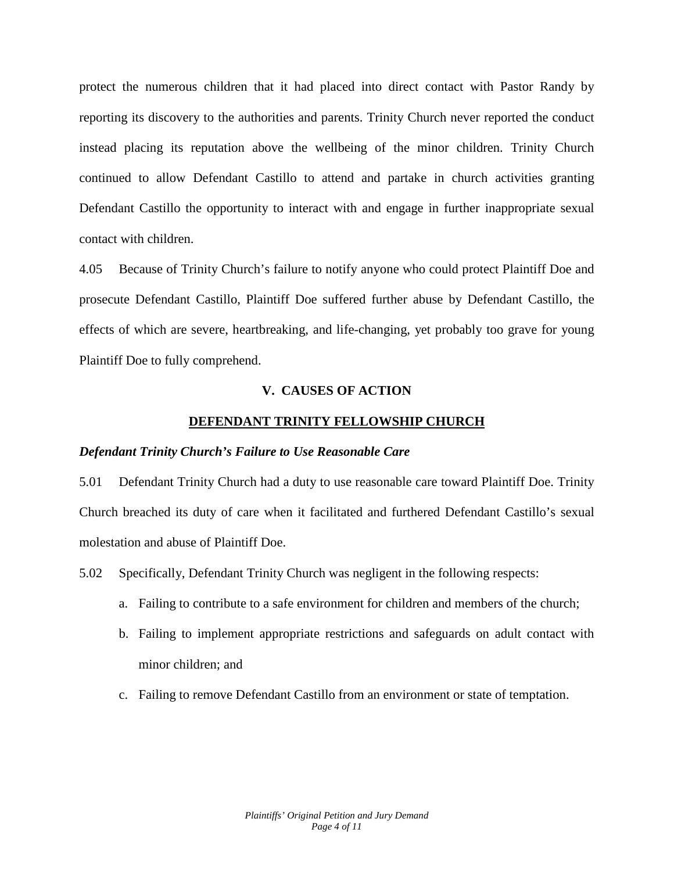protect the numerous children that it had placed into direct contact with Pastor Randy by reporting its discovery to the authorities and parents. Trinity Church never reported the conduct instead placing its reputation above the wellbeing of the minor children. Trinity Church continued to allow Defendant Castillo to attend and partake in church activities granting Defendant Castillo the opportunity to interact with and engage in further inappropriate sexual contact with children.

4.05 Because of Trinity Church's failure to notify anyone who could protect Plaintiff Doe and prosecute Defendant Castillo, Plaintiff Doe suffered further abuse by Defendant Castillo, the effects of which are severe, heartbreaking, and life-changing, yet probably too grave for young Plaintiff Doe to fully comprehend.

#### **V. CAUSES OF ACTION**

#### **DEFENDANT TRINITY FELLOWSHIP CHURCH**

#### *Defendant Trinity Church's Failure to Use Reasonable Care*

5.01 Defendant Trinity Church had a duty to use reasonable care toward Plaintiff Doe. Trinity Church breached its duty of care when it facilitated and furthered Defendant Castillo's sexual molestation and abuse of Plaintiff Doe.

5.02 Specifically, Defendant Trinity Church was negligent in the following respects:

- a. Failing to contribute to a safe environment for children and members of the church;
- b. Failing to implement appropriate restrictions and safeguards on adult contact with minor children; and
- c. Failing to remove Defendant Castillo from an environment or state of temptation.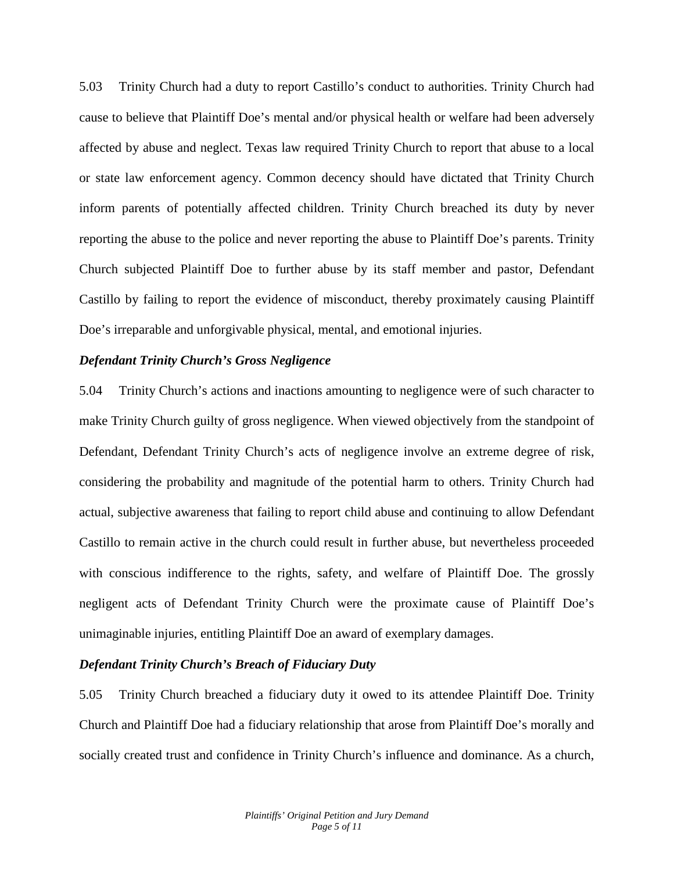5.03 Trinity Church had a duty to report Castillo's conduct to authorities. Trinity Church had cause to believe that Plaintiff Doe's mental and/or physical health or welfare had been adversely affected by abuse and neglect. Texas law required Trinity Church to report that abuse to a local or state law enforcement agency. Common decency should have dictated that Trinity Church inform parents of potentially affected children. Trinity Church breached its duty by never reporting the abuse to the police and never reporting the abuse to Plaintiff Doe's parents. Trinity Church subjected Plaintiff Doe to further abuse by its staff member and pastor, Defendant Castillo by failing to report the evidence of misconduct, thereby proximately causing Plaintiff Doe's irreparable and unforgivable physical, mental, and emotional injuries.

### *Defendant Trinity Church's Gross Negligence*

5.04 Trinity Church's actions and inactions amounting to negligence were of such character to make Trinity Church guilty of gross negligence. When viewed objectively from the standpoint of Defendant, Defendant Trinity Church's acts of negligence involve an extreme degree of risk, considering the probability and magnitude of the potential harm to others. Trinity Church had actual, subjective awareness that failing to report child abuse and continuing to allow Defendant Castillo to remain active in the church could result in further abuse, but nevertheless proceeded with conscious indifference to the rights, safety, and welfare of Plaintiff Doe. The grossly negligent acts of Defendant Trinity Church were the proximate cause of Plaintiff Doe's unimaginable injuries, entitling Plaintiff Doe an award of exemplary damages.

#### *Defendant Trinity Church's Breach of Fiduciary Duty*

5.05 Trinity Church breached a fiduciary duty it owed to its attendee Plaintiff Doe. Trinity Church and Plaintiff Doe had a fiduciary relationship that arose from Plaintiff Doe's morally and socially created trust and confidence in Trinity Church's influence and dominance. As a church,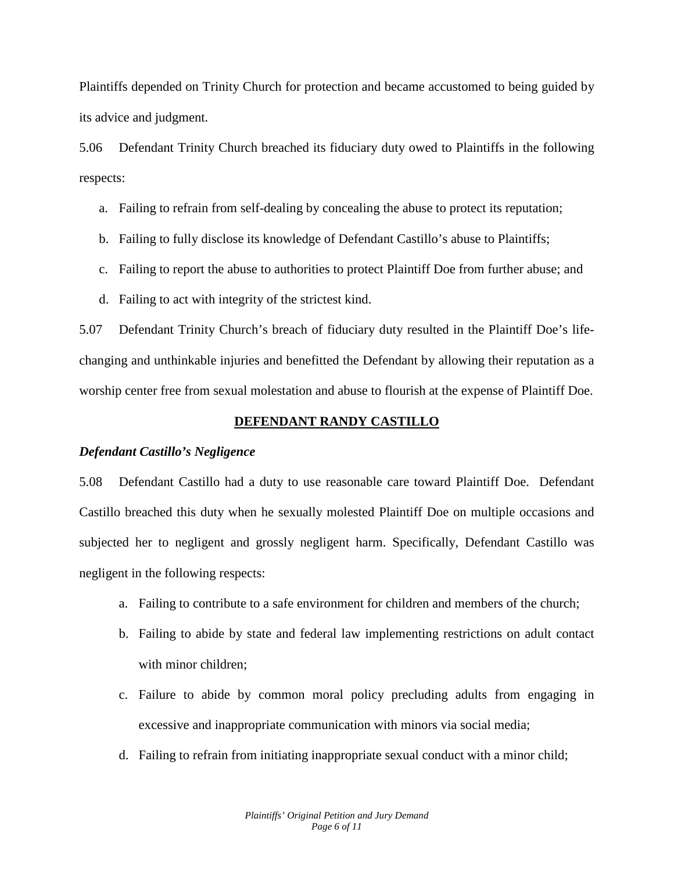Plaintiffs depended on Trinity Church for protection and became accustomed to being guided by its advice and judgment.

5.06 Defendant Trinity Church breached its fiduciary duty owed to Plaintiffs in the following respects:

- a. Failing to refrain from self-dealing by concealing the abuse to protect its reputation;
- b. Failing to fully disclose its knowledge of Defendant Castillo's abuse to Plaintiffs;
- c. Failing to report the abuse to authorities to protect Plaintiff Doe from further abuse; and
- d. Failing to act with integrity of the strictest kind.

5.07 Defendant Trinity Church's breach of fiduciary duty resulted in the Plaintiff Doe's lifechanging and unthinkable injuries and benefitted the Defendant by allowing their reputation as a worship center free from sexual molestation and abuse to flourish at the expense of Plaintiff Doe.

### **DEFENDANT RANDY CASTILLO**

#### *Defendant Castillo's Negligence*

5.08 Defendant Castillo had a duty to use reasonable care toward Plaintiff Doe. Defendant Castillo breached this duty when he sexually molested Plaintiff Doe on multiple occasions and subjected her to negligent and grossly negligent harm. Specifically, Defendant Castillo was negligent in the following respects:

- a. Failing to contribute to a safe environment for children and members of the church;
- b. Failing to abide by state and federal law implementing restrictions on adult contact with minor children;
- c. Failure to abide by common moral policy precluding adults from engaging in excessive and inappropriate communication with minors via social media;
- d. Failing to refrain from initiating inappropriate sexual conduct with a minor child;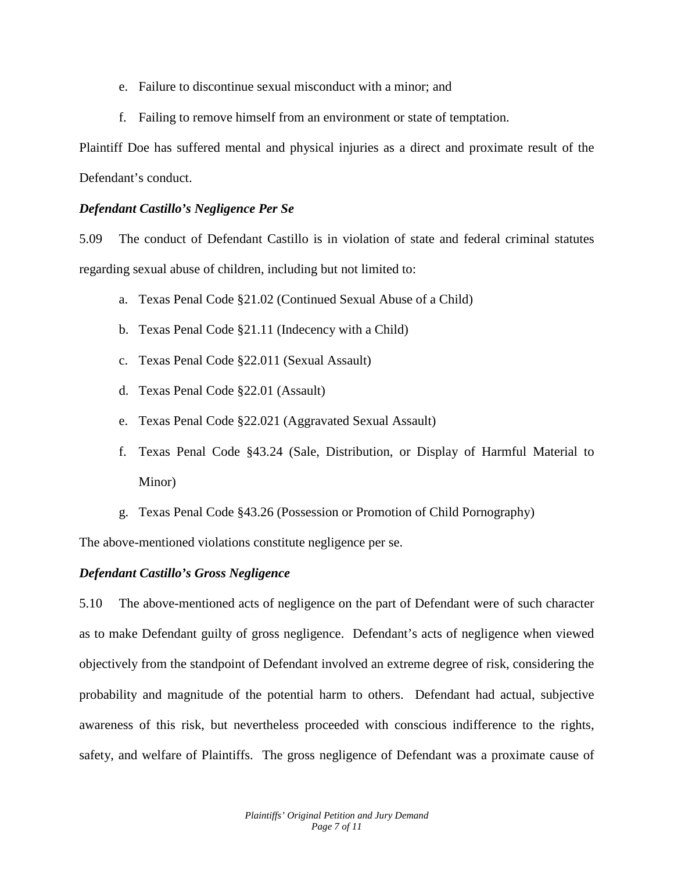- e. Failure to discontinue sexual misconduct with a minor; and
- f. Failing to remove himself from an environment or state of temptation.

Plaintiff Doe has suffered mental and physical injuries as a direct and proximate result of the Defendant's conduct.

## *Defendant Castillo's Negligence Per Se*

5.09 The conduct of Defendant Castillo is in violation of state and federal criminal statutes regarding sexual abuse of children, including but not limited to:

- a. Texas Penal Code §21.02 (Continued Sexual Abuse of a Child)
- b. Texas Penal Code §21.11 (Indecency with a Child)
- c. Texas Penal Code §22.011 (Sexual Assault)
- d. Texas Penal Code §22.01 (Assault)
- e. Texas Penal Code §22.021 (Aggravated Sexual Assault)
- f. Texas Penal Code §43.24 (Sale, Distribution, or Display of Harmful Material to Minor)
- g. Texas Penal Code §43.26 (Possession or Promotion of Child Pornography)

The above-mentioned violations constitute negligence per se.

## *Defendant Castillo's Gross Negligence*

5.10 The above-mentioned acts of negligence on the part of Defendant were of such character as to make Defendant guilty of gross negligence. Defendant's acts of negligence when viewed objectively from the standpoint of Defendant involved an extreme degree of risk, considering the probability and magnitude of the potential harm to others. Defendant had actual, subjective awareness of this risk, but nevertheless proceeded with conscious indifference to the rights, safety, and welfare of Plaintiffs. The gross negligence of Defendant was a proximate cause of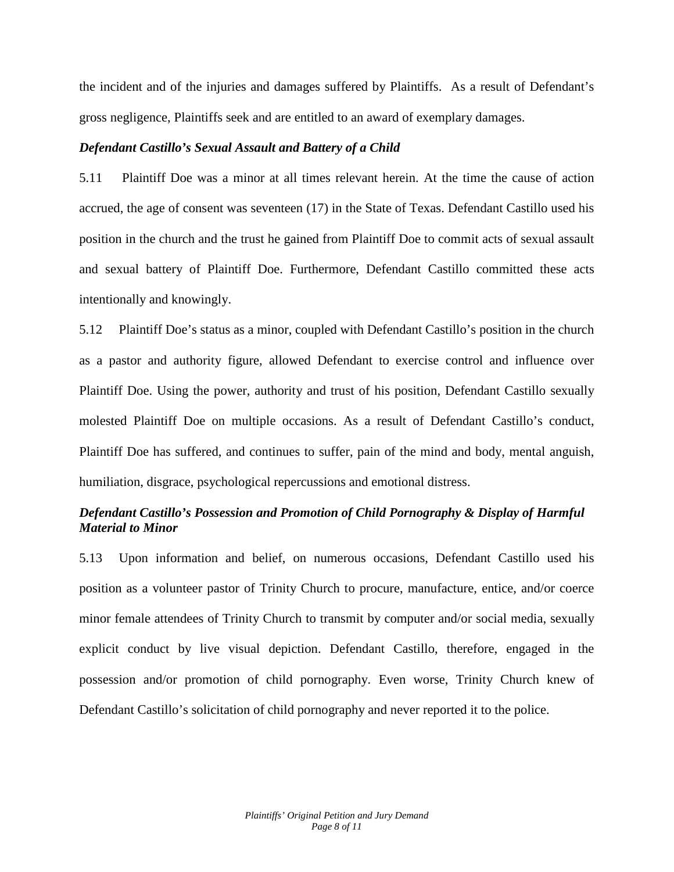the incident and of the injuries and damages suffered by Plaintiffs. As a result of Defendant's gross negligence, Plaintiffs seek and are entitled to an award of exemplary damages.

### *Defendant Castillo's Sexual Assault and Battery of a Child*

5.11 Plaintiff Doe was a minor at all times relevant herein. At the time the cause of action accrued, the age of consent was seventeen (17) in the State of Texas. Defendant Castillo used his position in the church and the trust he gained from Plaintiff Doe to commit acts of sexual assault and sexual battery of Plaintiff Doe. Furthermore, Defendant Castillo committed these acts intentionally and knowingly.

5.12 Plaintiff Doe's status as a minor, coupled with Defendant Castillo's position in the church as a pastor and authority figure, allowed Defendant to exercise control and influence over Plaintiff Doe. Using the power, authority and trust of his position, Defendant Castillo sexually molested Plaintiff Doe on multiple occasions. As a result of Defendant Castillo's conduct, Plaintiff Doe has suffered, and continues to suffer, pain of the mind and body, mental anguish, humiliation, disgrace, psychological repercussions and emotional distress.

## *Defendant Castillo's Possession and Promotion of Child Pornography & Display of Harmful Material to Minor*

5.13 Upon information and belief, on numerous occasions, Defendant Castillo used his position as a volunteer pastor of Trinity Church to procure, manufacture, entice, and/or coerce minor female attendees of Trinity Church to transmit by computer and/or social media, sexually explicit conduct by live visual depiction. Defendant Castillo, therefore, engaged in the possession and/or promotion of child pornography. Even worse, Trinity Church knew of Defendant Castillo's solicitation of child pornography and never reported it to the police.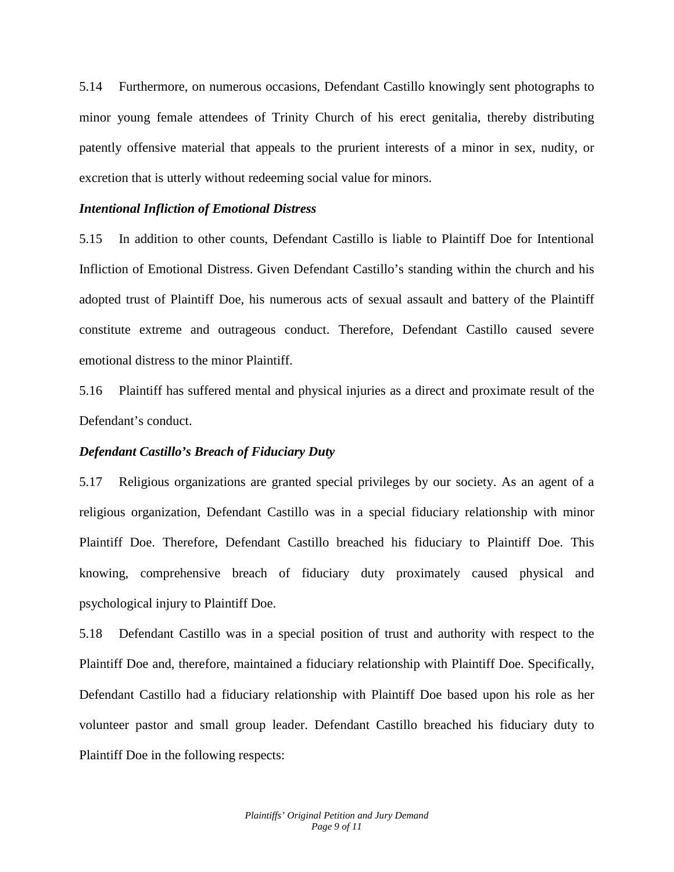5.14 Furthermore, on numerous occasions, Defendant Castillo knowingly sent photographs to minor young female attendees of Trinity Church of his erect genitalia, thereby distributing patently offensive material that appeals to the prurient interests of a minor in sex, nudity, or excretion that is utterly without redeeming social value for minors.

#### *Intentional Infliction of Emotional Distress*

5.15 In addition to other counts, Defendant Castillo is liable to Plaintiff Doe for Intentional Infliction of Emotional Distress. Given Defendant Castillo's standing within the church and his adopted trust of Plaintiff Doe, his numerous acts of sexual assault and battery of the Plaintiff constitute extreme and outrageous conduct. Therefore, Defendant Castillo caused severe emotional distress to the minor Plaintiff.

5.16 Plaintiff has suffered mental and physical injuries as a direct and proximate result of the Defendant's conduct.

### *Defendant Castillo's Breach of Fiduciary Duty*

5.17 Religious organizations are granted special privileges by our society. As an agent of a religious organization, Defendant Castillo was in a special fiduciary relationship with minor Plaintiff Doe. Therefore, Defendant Castillo breached his fiduciary to Plaintiff Doe. This knowing, comprehensive breach of fiduciary duty proximately caused physical and psychological injury to Plaintiff Doe.

5.18 Defendant Castillo was in a special position of trust and authority with respect to the Plaintiff Doe and, therefore, maintained a fiduciary relationship with Plaintiff Doe. Specifically, Defendant Castillo had a fiduciary relationship with Plaintiff Doe based upon his role as her volunteer pastor and small group leader. Defendant Castillo breached his fiduciary duty to Plaintiff Doe in the following respects: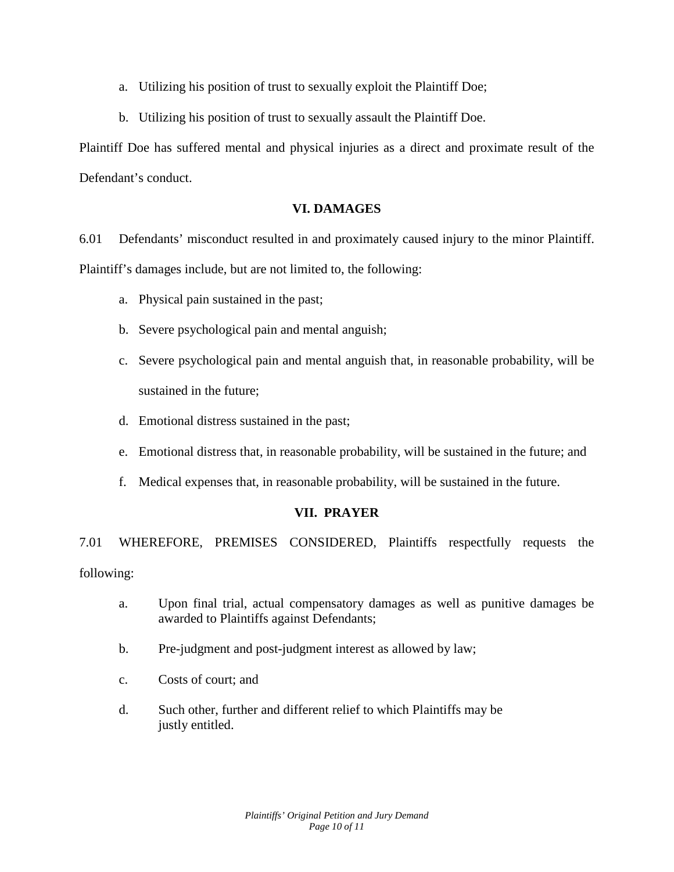- a. Utilizing his position of trust to sexually exploit the Plaintiff Doe;
- b. Utilizing his position of trust to sexually assault the Plaintiff Doe.

Plaintiff Doe has suffered mental and physical injuries as a direct and proximate result of the Defendant's conduct.

## **VI. DAMAGES**

6.01 Defendants' misconduct resulted in and proximately caused injury to the minor Plaintiff. Plaintiff's damages include, but are not limited to, the following:

- a. Physical pain sustained in the past;
- b. Severe psychological pain and mental anguish;
- c. Severe psychological pain and mental anguish that, in reasonable probability, will be sustained in the future;
- d. Emotional distress sustained in the past;
- e. Emotional distress that, in reasonable probability, will be sustained in the future; and
- f. Medical expenses that, in reasonable probability, will be sustained in the future.

## **VII. PRAYER**

7.01 WHEREFORE, PREMISES CONSIDERED, Plaintiffs respectfully requests the following:

- a. Upon final trial, actual compensatory damages as well as punitive damages be awarded to Plaintiffs against Defendants;
- b. Pre-judgment and post-judgment interest as allowed by law;
- c. Costs of court; and
- d. Such other, further and different relief to which Plaintiffs may be justly entitled.